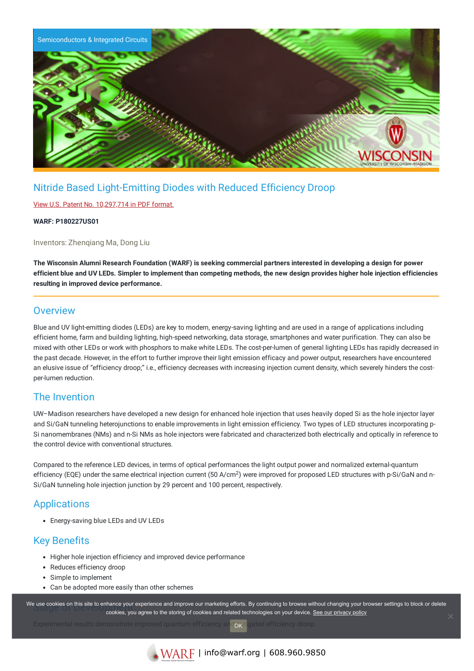

# Nitride Based Light-Emitting Diodes with Reduced Efficiency Droop

#### View U.S. Patent No. [10,297,714](https://www.warf.org/wp-content/uploads/technologies/ipstatus/P180227US01.pdf) in PDF format.

**WARF: P180227US01**

Inventors: Zhenqiang Ma, Dong Liu

The Wisconsin Alumni Research Foundation (WARF) is seeking commercial partners interested in developing a design for power efficient blue and UV LEDs. Simpler to implement than competing methods, the new design provides higher hole injection efficiencies **resulting in improved device performance.**

### **Overview**

Blue and UV light-emitting diodes (LEDs) are key to modern, energy-saving lighting and are used in a range of applications including efficient home, farm and building lighting, high-speed networking, data storage, smartphones and water purification. They can also be mixed with other LEDs or work with phosphors to make white LEDs. The cost-per-lumen of general lighting LEDs has rapidly decreased in the past decade. However, in the effort to further improve their light emission efficacy and power output, researchers have encountered an elusive issue of "efficiency droop;" i.e., efficiency decreases with increasing injection current density, which severely hinders the costper-lumen reduction.

## The Invention

UW–Madison researchers have developed a new design for enhanced hole injection that uses heavily doped Si as the hole injector layer and Si/GaN tunneling heterojunctions to enable improvements in light emission efficiency. Two types of LED structures incorporating p-Si nanomembranes (NMs) and n-Si NMs as hole injectors were fabricated and characterized both electrically and optically in reference to the control device with conventional structures.

Compared to the reference LED devices, in terms of optical performances the light output power and normalized external-quantum efficiency (EQE) under the same electrical injection current (50 A/cm<sup>2</sup>) were improved for proposed LED structures with p-Si/GaN and n-Si/GaN tunneling hole injection junction by 29 percent and 100 percent, respectively.

## **Applications**

Energy-saving blue LEDs and UV LEDs

## Key Benefits

- Higher hole injection efficiency and improved device performance
- Reduces efficiency droop
- Simple to implement
- Can be adopted more easily than other schemes

We use cookies on this site to enhance your experience and improve our marketing efforts. By continuing to browse without changing your browser settings to block or delete continuing to browser settings to block or delete cookies, you agree to the storing of cookies and related technologies on your device. [See our privacy policy](https://www.warf.org/privacy-policy/)

OK